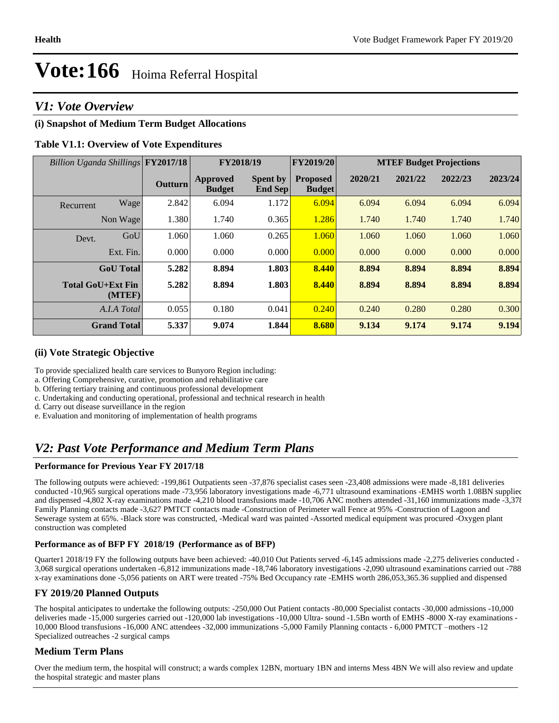# *V1: Vote Overview*

# **(i) Snapshot of Medium Term Budget Allocations**

## **Table V1.1: Overview of Vote Expenditures**

| Billion Uganda Shillings FY2017/18 |                    |                | FY2018/19                 |                                   | FY2019/20                        | <b>MTEF Budget Projections</b> |         |         |         |
|------------------------------------|--------------------|----------------|---------------------------|-----------------------------------|----------------------------------|--------------------------------|---------|---------|---------|
|                                    |                    | <b>Outturn</b> | Approved<br><b>Budget</b> | <b>Spent by</b><br><b>End Sep</b> | <b>Proposed</b><br><b>Budget</b> | 2020/21                        | 2021/22 | 2022/23 | 2023/24 |
| Recurrent                          | Wage               | 2.842          | 6.094                     | 1.172                             | 6.094                            | 6.094                          | 6.094   | 6.094   | 6.094   |
|                                    | Non Wage           | 1.380          | 1.740                     | 0.365                             | 1.286                            | 1.740                          | 1.740   | 1.740   | 1.740   |
| Devt.                              | GoU                | 1.060          | 1.060                     | 0.265                             | 1.060                            | 1.060                          | 1.060   | 1.060   | 1.060   |
|                                    | Ext. Fin.          | 0.000          | 0.000                     | 0.000                             | 0.000                            | 0.000                          | 0.000   | 0.000   | 0.000   |
|                                    | <b>GoU</b> Total   | 5.282          | 8.894                     | 1.803                             | 8.440                            | 8.894                          | 8.894   | 8.894   | 8.894   |
| <b>Total GoU+Ext Fin</b>           | (MTEF)             | 5.282          | 8.894                     | 1.803                             | 8.440                            | 8.894                          | 8.894   | 8.894   | 8.894   |
|                                    | A.I.A Total        | 0.055          | 0.180                     | 0.041                             | 0.240                            | 0.240                          | 0.280   | 0.280   | 0.300   |
|                                    | <b>Grand Total</b> | 5.337          | 9.074                     | 1.844                             | 8.680                            | 9.134                          | 9.174   | 9.174   | 9.194   |

#### **(ii) Vote Strategic Objective**

To provide specialized health care services to Bunyoro Region including:

a. Offering Comprehensive, curative, promotion and rehabilitative care

b. Offering tertiary training and continuous professional development

c. Undertaking and conducting operational, professional and technical research in health

d. Carry out disease surveillance in the region

e. Evaluation and monitoring of implementation of health programs

# *V2: Past Vote Performance and Medium Term Plans*

#### **Performance for Previous Year FY 2017/18**

The following outputs were achieved: -199,861 Outpatients seen -37,876 specialist cases seen -23,408 admissions were made -8,181 deliveries conducted -10,965 surgical operations made -73,956 laboratory investigations made -6,771 ultrasound examinations -EMHS worth 1.08BN supplied and dispensed -4,802 X-ray examinations made -4,210 blood transfusions made -10,706 ANC mothers attended -31,160 immunizations made -3,378 Family Planning contacts made -3,627 PMTCT contacts made -Construction of Perimeter wall Fence at 95% -Construction of Lagoon and Sewerage system at 65%. -Black store was constructed, -Medical ward was painted -Assorted medical equipment was procured -Oxygen plant construction was completed

#### **Performance as of BFP FY 2018/19 (Performance as of BFP)**

Quarter1 2018/19 FY the following outputs have been achieved: -40,010 Out Patients served -6,145 admissions made -2,275 deliveries conducted - 3,068 surgical operations undertaken -6,812 immunizations made -18,746 laboratory investigations -2,090 ultrasound examinations carried out -788 x-ray examinations done -5,056 patients on ART were treated -75% Bed Occupancy rate -EMHS worth 286,053,365.36 supplied and dispensed

## **FY 2019/20 Planned Outputs**

The hospital anticipates to undertake the following outputs: -250,000 Out Patient contacts -80,000 Specialist contacts -30,000 admissions -10,000 deliveries made -15,000 surgeries carried out -120,000 lab investigations -10,000 Ultra- sound -1.5Bn worth of EMHS -8000 X-ray examinations -10,000 Blood transfusions -16,000 ANC attendees -32,000 immunizations -5,000 Family Planning contacts - 6,000 PMTCT -mothers -12 Specialized outreaches -2 surgical camps

## **Medium Term Plans**

Over the medium term, the hospital will construct; a wards complex 12BN, mortuary 1BN and interns Mess 4BN We will also review and update the hospital strategic and master plans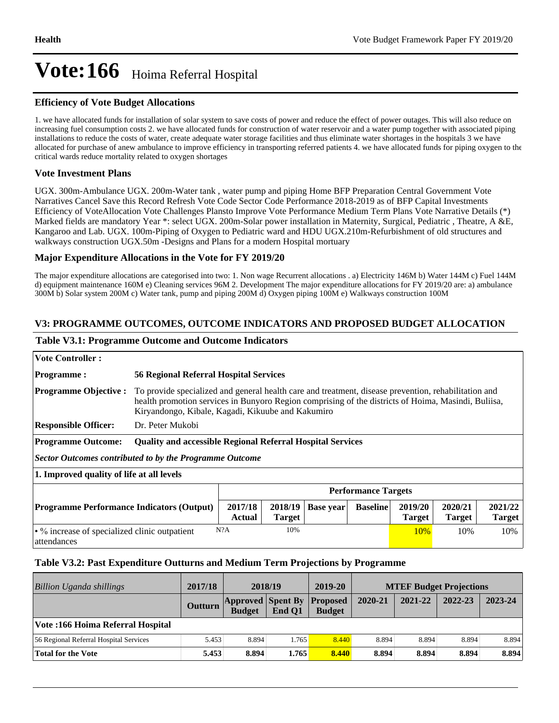#### **Efficiency of Vote Budget Allocations**

1. we have allocated funds for installation of solar system to save costs of power and reduce the effect of power outages. This will also reduce on increasing fuel consumption costs 2. we have allocated funds for construction of water reservoir and a water pump together with associated piping installations to reduce the costs of water, create adequate water storage facilities and thus eliminate water shortages in the hospitals 3 we have allocated for purchase of anew ambulance to improve efficiency in transporting referred patients 4. we have allocated funds for piping oxygen to the critical wards reduce mortality related to oxygen shortages

#### **Vote Investment Plans**

UGX. 300m-Ambulance UGX. 200m-Water tank , water pump and piping Home BFP Preparation Central Government Vote Narratives Cancel Save this Record Refresh Vote Code Sector Code Performance 2018-2019 as of BFP Capital Investments Efficiency of VoteAllocation Vote Challenges Plansto Improve Vote Performance Medium Term Plans Vote Narrative Details (\*) Marked fields are mandatory Year \*: select UGX. 200m-Solar power installation in Maternity, Surgical, Pediatric, Theatre, A &E, Kangaroo and Lab. UGX. 100m-Piping of Oxygen to Pediatric ward and HDU UGX.210m-Refurbishment of old structures and walkways construction UGX.50m -Designs and Plans for a modern Hospital mortuary

#### **Major Expenditure Allocations in the Vote for FY 2019/20**

The major expenditure allocations are categorised into two: 1. Non wage Recurrent allocations . a) Electricity 146M b) Water 144M c) Fuel 144M d) equipment maintenance 160M e) Cleaning services 96M 2. Development The major expenditure allocations for FY 2019/20 are: a) ambulance 300M b) Solar system 200M c) Water tank, pump and piping 200M d) Oxygen piping 100M e) Walkways construction 100M

### **V3: PROGRAMME OUTCOMES, OUTCOME INDICATORS AND PROPOSED BUDGET ALLOCATION**

#### **Table V3.1: Programme Outcome and Outcome Indicators**

| <b>Vote Controller :</b>                                                                                                                                                                                |                                                                                                                                                                                                                                                                  |  |  |  |                            |                          |  |  |
|---------------------------------------------------------------------------------------------------------------------------------------------------------------------------------------------------------|------------------------------------------------------------------------------------------------------------------------------------------------------------------------------------------------------------------------------------------------------------------|--|--|--|----------------------------|--------------------------|--|--|
| <b>Programme:</b>                                                                                                                                                                                       | <b>56 Regional Referral Hospital Services</b>                                                                                                                                                                                                                    |  |  |  |                            |                          |  |  |
| <b>Programme Objective:</b>                                                                                                                                                                             | To provide specialized and general health care and treatment, disease prevention, rehabilitation and<br>health promotion services in Bunyoro Region comprising of the districts of Hoima, Masindi, Buliisa,<br>Kiryandongo, Kibale, Kagadi, Kikuube and Kakumiro |  |  |  |                            |                          |  |  |
| <b>Responsible Officer:</b>                                                                                                                                                                             | Dr. Peter Mukobi                                                                                                                                                                                                                                                 |  |  |  |                            |                          |  |  |
| <b>Programme Outcome:</b>                                                                                                                                                                               | <b>Quality and accessible Regional Referral Hospital Services</b>                                                                                                                                                                                                |  |  |  |                            |                          |  |  |
| <b>Sector Outcomes contributed to by the Programme Outcome</b>                                                                                                                                          |                                                                                                                                                                                                                                                                  |  |  |  |                            |                          |  |  |
| 1. Improved quality of life at all levels                                                                                                                                                               |                                                                                                                                                                                                                                                                  |  |  |  |                            |                          |  |  |
|                                                                                                                                                                                                         |                                                                                                                                                                                                                                                                  |  |  |  | <b>Performance Targets</b> |                          |  |  |
| 2020/21<br>2017/18<br>2019/20<br><b>Programme Performance Indicators (Output)</b><br>2018/19<br><b>Baseline</b><br><b>Base year</b><br><b>Actual</b><br><b>Target</b><br><b>Target</b><br><b>Target</b> |                                                                                                                                                                                                                                                                  |  |  |  |                            | 2021/22<br><b>Target</b> |  |  |
| attendances                                                                                                                                                                                             | • % increase of specialized clinic outpatient<br>N?A<br>10%<br>10%<br>10%<br><b>10%</b>                                                                                                                                                                          |  |  |  |                            |                          |  |  |

#### **Table V3.2: Past Expenditure Outturns and Medium Term Projections by Programme**

| Billion Uganda shillings               | 2017/18        | 2018/19                                   |        | 2019-20                          | <b>MTEF Budget Projections</b> |         |         |         |
|----------------------------------------|----------------|-------------------------------------------|--------|----------------------------------|--------------------------------|---------|---------|---------|
|                                        | <b>Outturn</b> | <b>Approved Spent By</b><br><b>Budget</b> | End O1 | <b>Proposed</b><br><b>Budget</b> | 2020-21                        | 2021-22 | 2022-23 | 2023-24 |
| Vote :166 Hoima Referral Hospital      |                |                                           |        |                                  |                                |         |         |         |
| 56 Regional Referral Hospital Services | 5.453          | 8.894                                     | l.765  | 8.440                            | 8.894                          | 8.894   | 8.894   | 8.894   |
| <b>Total for the Vote</b>              | 5.453          | 8.894                                     | 1.765  | 8.440                            | 8.894                          | 8.894   | 8.894   | 8.894   |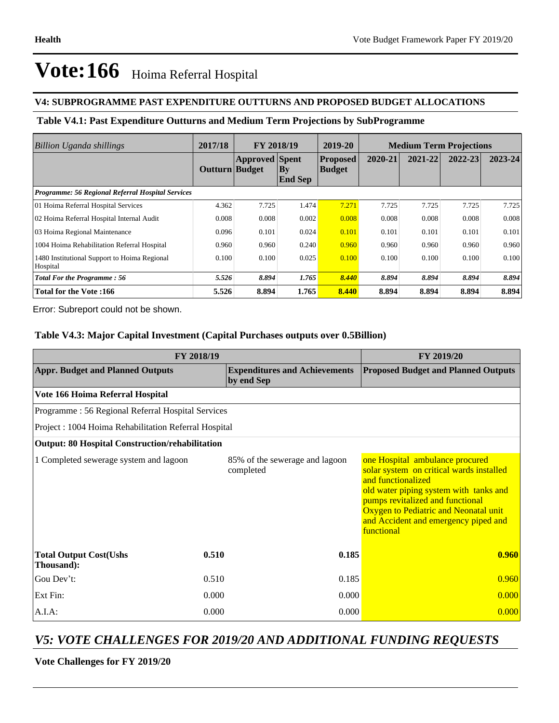## **V4: SUBPROGRAMME PAST EXPENDITURE OUTTURNS AND PROPOSED BUDGET ALLOCATIONS**

# **Table V4.1: Past Expenditure Outturns and Medium Term Projections by SubProgramme**

| Billion Uganda shillings                                 | 2017/18        | FY 2018/19            |                                | 2019-20                          | <b>Medium Term Projections</b> |         |         |         |
|----------------------------------------------------------|----------------|-----------------------|--------------------------------|----------------------------------|--------------------------------|---------|---------|---------|
|                                                          | Outturn Budget | <b>Approved</b> Spent | $ {\bf B}$ y<br><b>End Sep</b> | <b>Proposed</b><br><b>Budget</b> | 2020-21                        | 2021-22 | 2022-23 | 2023-24 |
| Programme: 56 Regional Referral Hospital Services        |                |                       |                                |                                  |                                |         |         |         |
| 01 Hoima Referral Hospital Services                      | 4.362          | 7.725                 | 1.474                          | 7.271                            | 7.725                          | 7.725   | 7.725   | 7.725   |
| 02 Hoima Referral Hospital Internal Audit                | 0.008          | 0.008                 | 0.002                          | 0.008                            | 0.008                          | 0.008   | 0.008   | 0.008   |
| 03 Hoima Regional Maintenance                            | 0.096          | 0.101                 | 0.024                          | 0.101                            | 0.101                          | 0.101   | 0.101   | 0.101   |
| 1004 Hoima Rehabilitation Referral Hospital              | 0.960          | 0.960                 | 0.240                          | 0.960                            | 0.960                          | 0.960   | 0.960   | 0.960   |
| 1480 Institutional Support to Hoima Regional<br>Hospital | 0.100          | 0.100                 | 0.025                          | 0.100                            | 0.100                          | 0.100   | 0.100   | 0.100   |
| <b>Total For the Programme: 56</b>                       | 5.526          | 8.894                 | 1.765                          | 8.440                            | 8.894                          | 8.894   | 8.894   | 8.894   |
| <b>Total for the Vote:166</b>                            | 5.526          | 8.894                 | 1.765                          | 8.440                            | 8.894                          | 8.894   | 8.894   | 8.894   |

Error: Subreport could not be shown.

## **Table V4.3: Major Capital Investment (Capital Purchases outputs over 0.5Billion)**

| FY 2018/19                                             | FY 2019/20 |                                                    |                                                                                                                                                                                                                                                                                |  |  |
|--------------------------------------------------------|------------|----------------------------------------------------|--------------------------------------------------------------------------------------------------------------------------------------------------------------------------------------------------------------------------------------------------------------------------------|--|--|
| <b>Appr. Budget and Planned Outputs</b>                |            | <b>Expenditures and Achievements</b><br>by end Sep | <b>Proposed Budget and Planned Outputs</b>                                                                                                                                                                                                                                     |  |  |
| Vote 166 Hoima Referral Hospital                       |            |                                                    |                                                                                                                                                                                                                                                                                |  |  |
| Programme: 56 Regional Referral Hospital Services      |            |                                                    |                                                                                                                                                                                                                                                                                |  |  |
| Project: 1004 Hoima Rehabilitation Referral Hospital   |            |                                                    |                                                                                                                                                                                                                                                                                |  |  |
| <b>Output: 80 Hospital Construction/rehabilitation</b> |            |                                                    |                                                                                                                                                                                                                                                                                |  |  |
| 1 Completed sewerage system and lagoon                 |            | 85% of the sewerage and lagoon<br>completed        | one Hospital ambulance procured<br>solar system on critical wards installed<br>and functionalized<br>old water piping system with tanks and<br>pumps revitalized and functional<br>Oxygen to Pediatric and Neonatal unit<br>and Accident and emergency piped and<br>functional |  |  |
| 0.510<br><b>Total Output Cost(Ushs</b><br>Thousand):   |            | 0.185                                              | 0.960                                                                                                                                                                                                                                                                          |  |  |
| Gou Dev't:<br>0.510                                    |            | 0.185                                              | 0.960                                                                                                                                                                                                                                                                          |  |  |
| Ext Fin:<br>0.000                                      |            | 0.000                                              | 0.000                                                                                                                                                                                                                                                                          |  |  |
| $A.I.A$ :                                              | 0.000      | 0.000                                              | 0.000                                                                                                                                                                                                                                                                          |  |  |

# *V5: VOTE CHALLENGES FOR 2019/20 AND ADDITIONAL FUNDING REQUESTS*

#### **Vote Challenges for FY 2019/20**